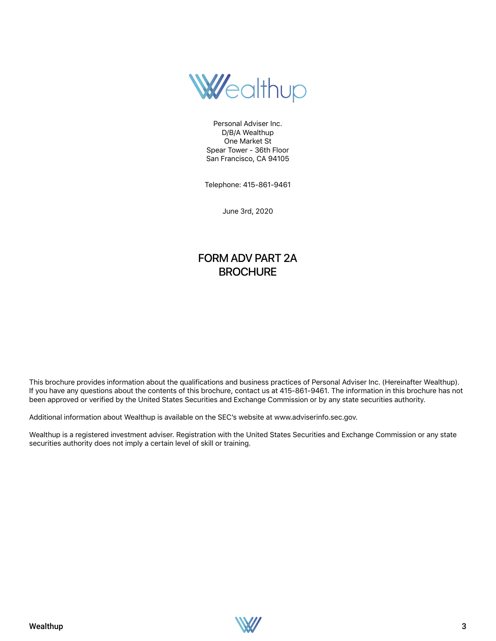

Personal Adviser Inc. D/B/A Wealthup One Market St Spear Tower - 36th Floor San Francisco, CA 94105

Telephone: 415-861-9461

June 3rd, 2020

## FORM ADV PART 2A **BROCHURE**

This brochure provides information about the qualifications and business practices of Personal Adviser Inc. (Hereinafter Wealthup). If you have any questions about the contents of this brochure, contact us at 415-861-9461. The information in this brochure has not been approved or verified by the United States Securities and Exchange Commission or by any state securities authority.

Additional information about Wealthup is available on the SEC's website at www.adviserinfo.sec.gov.

Wealthup is a registered investment adviser. Registration with the United States Securities and Exchange Commission or any state securities authority does not imply a certain level of skill or training.

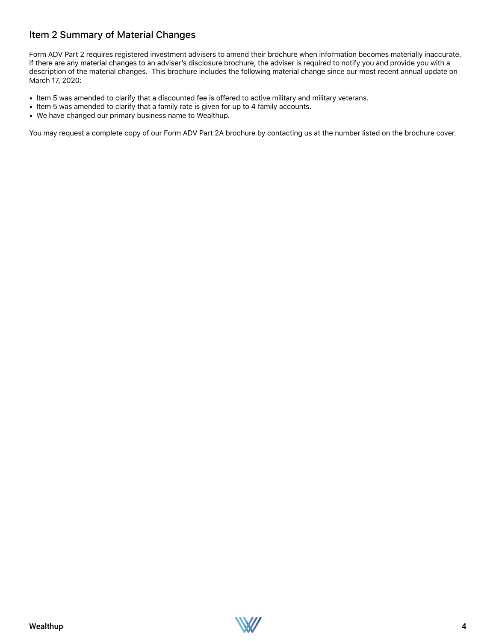### Item 2 Summary of Material Changes

Form ADV Part 2 requires registered investment advisers to amend their brochure when information becomes materially inaccurate. If there are any material changes to an adviser's disclosure brochure, the adviser is required to notify you and provide you with a description of the material changes. This brochure includes the following material change since our most recent annual update on March 17, 2020:

- Item 5 was amended to clarify that a discounted fee is offered to active military and military veterans.
- Item 5 was amended to clarify that a family rate is given for up to 4 family accounts.
- We have changed our primary business name to Wealthup.

You may request a complete copy of our Form ADV Part 2A brochure by contacting us at the number listed on the brochure cover.

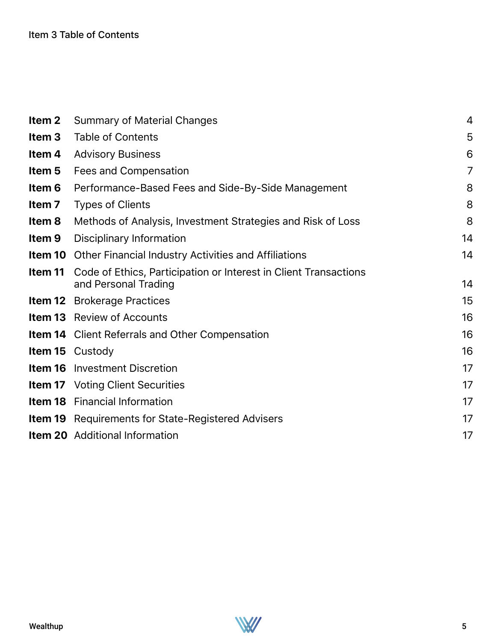| Item 2            | <b>Summary of Material Changes</b>                                                       | 4              |
|-------------------|------------------------------------------------------------------------------------------|----------------|
| Item <sub>3</sub> | <b>Table of Contents</b>                                                                 | 5              |
| Item 4            | <b>Advisory Business</b>                                                                 | 6              |
| Item 5            | Fees and Compensation                                                                    | $\overline{7}$ |
| Item 6            | Performance-Based Fees and Side-By-Side Management                                       | 8              |
| Item <sub>7</sub> | <b>Types of Clients</b>                                                                  | 8              |
| Item 8            | Methods of Analysis, Investment Strategies and Risk of Loss                              | 8              |
| Item <sub>9</sub> | Disciplinary Information                                                                 | 14             |
|                   | <b>Item 10</b> Other Financial Industry Activities and Affiliations                      | 14             |
| Item 11           | Code of Ethics, Participation or Interest in Client Transactions<br>and Personal Trading | 14             |
|                   | <b>Item 12</b> Brokerage Practices                                                       | 15             |
|                   | <b>Item 13</b> Review of Accounts                                                        | 16             |
|                   | <b>Item 14</b> Client Referrals and Other Compensation                                   | 16             |
|                   | <b>Item 15</b> Custody                                                                   | 16             |
|                   | <b>Item 16</b> Investment Discretion                                                     | 17             |
|                   | <b>Item 17</b> Voting Client Securities                                                  | 17             |
|                   | <b>Item 18</b> Financial Information                                                     | 17             |
|                   | <b>Item 19</b> Requirements for State-Registered Advisers                                | 17             |
|                   | <b>Item 20</b> Additional Information                                                    | 17             |
|                   |                                                                                          |                |

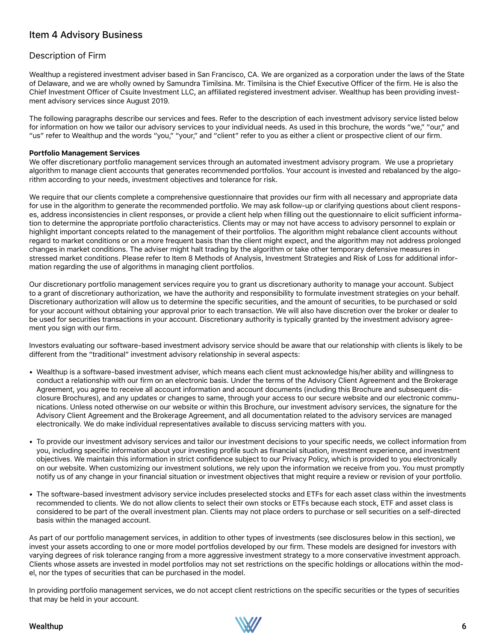### Item 4 Advisory Business

### Description of Firm

Wealthup a registered investment adviser based in San Francisco, CA. We are organized as a corporation under the laws of the State of Delaware, and we are wholly owned by Samundra Timilsina. Mr. Timilsina is the Chief Executive Officer of the firm. He is also the Chief Investment Officer of Csuite Investment LLC, an affiliated registered investment adviser. Wealthup has been providing investment advisory services since August 2019.

The following paragraphs describe our services and fees. Refer to the description of each investment advisory service listed below for information on how we tailor our advisory services to your individual needs. As used in this brochure, the words "we," "our," and "us" refer to Wealthup and the words "you," "your," and "client" refer to you as either a client or prospective client of our firm.

#### **Portfolio Management Services**

We offer discretionary portfolio management services through an automated investment advisory program. We use a proprietary algorithm to manage client accounts that generates recommended portfolios. Your account is invested and rebalanced by the algorithm according to your needs, investment objectives and tolerance for risk.

We require that our clients complete a comprehensive questionnaire that provides our firm with all necessary and appropriate data for use in the algorithm to generate the recommended portfolio. We may ask follow-up or clarifying questions about client responses, address inconsistencies in client responses, or provide a client help when filling out the questionnaire to elicit sufficient information to determine the appropriate portfolio characteristics. Clients may or may not have access to advisory personnel to explain or highlight important concepts related to the management of their portfolios. The algorithm might rebalance client accounts without regard to market conditions or on a more frequent basis than the client might expect, and the algorithm may not address prolonged changes in market conditions. The adviser might halt trading by the algorithm or take other temporary defensive measures in stressed market conditions. Please refer to Item 8 Methods of Analysis, Investment Strategies and Risk of Loss for additional information regarding the use of algorithms in managing client portfolios.

Our discretionary portfolio management services require you to grant us discretionary authority to manage your account. Subject to a grant of discretionary authorization, we have the authority and responsibility to formulate investment strategies on your behalf. Discretionary authorization will allow us to determine the specific securities, and the amount of securities, to be purchased or sold for your account without obtaining your approval prior to each transaction. We will also have discretion over the broker or dealer to be used for securities transactions in your account. Discretionary authority is typically granted by the investment advisory agreement you sign with our firm.

Investors evaluating our software-based investment advisory service should be aware that our relationship with clients is likely to be different from the "traditional" investment advisory relationship in several aspects:

- Wealthup is a software-based investment adviser, which means each client must acknowledge his/her ability and willingness to conduct a relationship with our firm on an electronic basis. Under the terms of the Advisory Client Agreement and the Brokerage Agreement, you agree to receive all account information and account documents (including this Brochure and subsequent disclosure Brochures), and any updates or changes to same, through your access to our secure website and our electronic communications. Unless noted otherwise on our website or within this Brochure, our investment advisory services, the signature for the Advisory Client Agreement and the Brokerage Agreement, and all documentation related to the advisory services are managed electronically. We do make individual representatives available to discuss servicing matters with you.
- To provide our investment advisory services and tailor our investment decisions to your specific needs, we collect information from you, including specific information about your investing profile such as financial situation, investment experience, and investment objectives. We maintain this information in strict confidence subject to our Privacy Policy, which is provided to you electronically on our website. When customizing our investment solutions, we rely upon the information we receive from you. You must promptly notify us of any change in your financial situation or investment objectives that might require a review or revision of your portfolio.
- The software-based investment advisory service includes preselected stocks and ETFs for each asset class within the investments recommended to clients. We do not allow clients to select their own stocks or ETFs because each stock, ETF and asset class is considered to be part of the overall investment plan. Clients may not place orders to purchase or sell securities on a self-directed basis within the managed account.

As part of our portfolio management services, in addition to other types of investments (see disclosures below in this section), we invest your assets according to one or more model portfolios developed by our firm. These models are designed for investors with varying degrees of risk tolerance ranging from a more aggressive investment strategy to a more conservative investment approach. Clients whose assets are invested in model portfolios may not set restrictions on the specific holdings or allocations within the model, nor the types of securities that can be purchased in the model.

In providing portfolio management services, we do not accept client restrictions on the specific securities or the types of securities that may be held in your account.

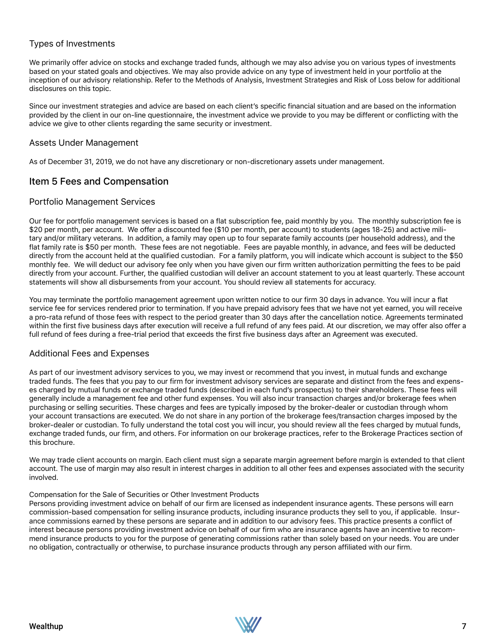### Types of Investments

We primarily offer advice on stocks and exchange traded funds, although we may also advise you on various types of investments based on your stated goals and objectives. We may also provide advice on any type of investment held in your portfolio at the inception of our advisory relationship. Refer to the Methods of Analysis, Investment Strategies and Risk of Loss below for additional disclosures on this topic.

Since our investment strategies and advice are based on each client's specific financial situation and are based on the information provided by the client in our on-line questionnaire, the investment advice we provide to you may be different or conflicting with the advice we give to other clients regarding the same security or investment.

### Assets Under Management

As of December 31, 2019, we do not have any discretionary or non-discretionary assets under management.

### Item 5 Fees and Compensation

### Portfolio Management Services

Our fee for portfolio management services is based on a flat subscription fee, paid monthly by you. The monthly subscription fee is \$20 per month, per account. We offer a discounted fee (\$10 per month, per account) to students (ages 18-25) and active military and/or military veterans. In addition, a family may open up to four separate family accounts (per household address), and the flat family rate is \$50 per month. These fees are not negotiable. Fees are payable monthly, in advance, and fees will be deducted directly from the account held at the qualified custodian. For a family platform, you will indicate which account is subject to the \$50 monthly fee. We will deduct our advisory fee only when you have given our firm written authorization permitting the fees to be paid directly from your account. Further, the qualified custodian will deliver an account statement to you at least quarterly. These account statements will show all disbursements from your account. You should review all statements for accuracy.

You may terminate the portfolio management agreement upon written notice to our firm 30 days in advance. You will incur a flat service fee for services rendered prior to termination. If you have prepaid advisory fees that we have not yet earned, you will receive a pro-rata refund of those fees with respect to the period greater than 30 days after the cancellation notice. Agreements terminated within the first five business days after execution will receive a full refund of any fees paid. At our discretion, we may offer also offer a full refund of fees during a free-trial period that exceeds the first five business days after an Agreement was executed.

### Additional Fees and Expenses

As part of our investment advisory services to you, we may invest or recommend that you invest, in mutual funds and exchange traded funds. The fees that you pay to our firm for investment advisory services are separate and distinct from the fees and expenses charged by mutual funds or exchange traded funds (described in each fund's prospectus) to their shareholders. These fees will generally include a management fee and other fund expenses. You will also incur transaction charges and/or brokerage fees when purchasing or selling securities. These charges and fees are typically imposed by the broker-dealer or custodian through whom your account transactions are executed. We do not share in any portion of the brokerage fees/transaction charges imposed by the broker-dealer or custodian. To fully understand the total cost you will incur, you should review all the fees charged by mutual funds, exchange traded funds, our firm, and others. For information on our brokerage practices, refer to the Brokerage Practices section of this brochure.

We may trade client accounts on margin. Each client must sign a separate margin agreement before margin is extended to that client account. The use of margin may also result in interest charges in addition to all other fees and expenses associated with the security involved.

#### Compensation for the Sale of Securities or Other Investment Products

Persons providing investment advice on behalf of our firm are licensed as independent insurance agents. These persons will earn commission-based compensation for selling insurance products, including insurance products they sell to you, if applicable. Insurance commissions earned by these persons are separate and in addition to our advisory fees. This practice presents a conflict of interest because persons providing investment advice on behalf of our firm who are insurance agents have an incentive to recommend insurance products to you for the purpose of generating commissions rather than solely based on your needs. You are under no obligation, contractually or otherwise, to purchase insurance products through any person affiliated with our firm.

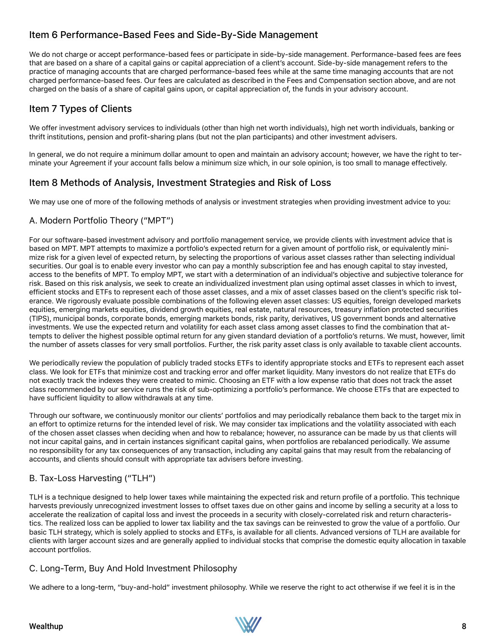## Item 6 Performance-Based Fees and Side-By-Side Management

We do not charge or accept performance-based fees or participate in side-by-side management. Performance-based fees are fees that are based on a share of a capital gains or capital appreciation of a client's account. Side-by-side management refers to the practice of managing accounts that are charged performance-based fees while at the same time managing accounts that are not charged performance-based fees. Our fees are calculated as described in the Fees and Compensation section above, and are not charged on the basis of a share of capital gains upon, or capital appreciation of, the funds in your advisory account.

## Item 7 Types of Clients

We offer investment advisory services to individuals (other than high net worth individuals), high net worth individuals, banking or thrift institutions, pension and profit-sharing plans (but not the plan participants) and other investment advisers.

In general, we do not require a minimum dollar amount to open and maintain an advisory account; however, we have the right to terminate your Agreement if your account falls below a minimum size which, in our sole opinion, is too small to manage effectively.

### Item 8 Methods of Analysis, Investment Strategies and Risk of Loss

We may use one of more of the following methods of analysis or investment strategies when providing investment advice to you:

### A. Modern Portfolio Theory ("MPT")

For our software-based investment advisory and portfolio management service, we provide clients with investment advice that is based on MPT. MPT attempts to maximize a portfolio's expected return for a given amount of portfolio risk, or equivalently minimize risk for a given level of expected return, by selecting the proportions of various asset classes rather than selecting individual securities. Our goal is to enable every investor who can pay a monthly subscription fee and has enough capital to stay invested, access to the benefits of MPT. To employ MPT, we start with a determination of an individual's objective and subjective tolerance for risk. Based on this risk analysis, we seek to create an individualized investment plan using optimal asset classes in which to invest, efficient stocks and ETFs to represent each of those asset classes, and a mix of asset classes based on the client's specific risk tolerance. We rigorously evaluate possible combinations of the following eleven asset classes: US equities, foreign developed markets equities, emerging markets equities, dividend growth equities, real estate, natural resources, treasury inflation protected securities (TIPS), municipal bonds, corporate bonds, emerging markets bonds, risk parity, derivatives, US government bonds and alternative investments. We use the expected return and volatility for each asset class among asset classes to find the combination that attempts to deliver the highest possible optimal return for any given standard deviation of a portfolio's returns. We must, however, limit the number of assets classes for very small portfolios. Further, the risk parity asset class is only available to taxable client accounts.

We periodically review the population of publicly traded stocks ETFs to identify appropriate stocks and ETFs to represent each asset class. We look for ETFs that minimize cost and tracking error and offer market liquidity. Many investors do not realize that ETFs do not exactly track the indexes they were created to mimic. Choosing an ETF with a low expense ratio that does not track the asset class recommended by our service runs the risk of sub-optimizing a portfolio's performance. We choose ETFs that are expected to have sufficient liquidity to allow withdrawals at any time.

Through our software, we continuously monitor our clients' portfolios and may periodically rebalance them back to the target mix in an effort to optimize returns for the intended level of risk. We may consider tax implications and the volatility associated with each of the chosen asset classes when deciding when and how to rebalance; however, no assurance can be made by us that clients will not incur capital gains, and in certain instances significant capital gains, when portfolios are rebalanced periodically. We assume no responsibility for any tax consequences of any transaction, including any capital gains that may result from the rebalancing of accounts, and clients should consult with appropriate tax advisers before investing.

### B. Tax-Loss Harvesting ("TLH")

TLH is a technique designed to help lower taxes while maintaining the expected risk and return profile of a portfolio. This technique harvests previously unrecognized investment losses to offset taxes due on other gains and income by selling a security at a loss to accelerate the realization of capital loss and invest the proceeds in a security with closely-correlated risk and return characteristics. The realized loss can be applied to lower tax liability and the tax savings can be reinvested to grow the value of a portfolio. Our basic TLH strategy, which is solely applied to stocks and ETFs, is available for all clients. Advanced versions of TLH are available for clients with larger account sizes and are generally applied to individual stocks that comprise the domestic equity allocation in taxable account portfolios.

### C. Long-Term, Buy And Hold Investment Philosophy

We adhere to a long-term, "buy-and-hold" investment philosophy. While we reserve the right to act otherwise if we feel it is in the

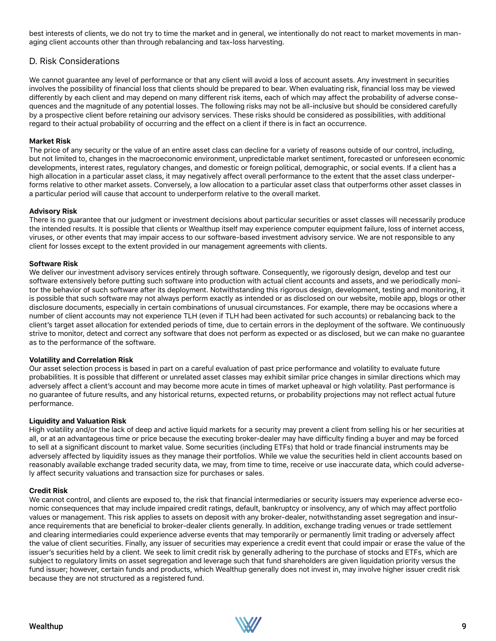best interests of clients, we do not try to time the market and in general, we intentionally do not react to market movements in managing client accounts other than through rebalancing and tax-loss harvesting.

### D. Risk Considerations

We cannot guarantee any level of performance or that any client will avoid a loss of account assets. Any investment in securities involves the possibility of financial loss that clients should be prepared to bear. When evaluating risk, financial loss may be viewed differently by each client and may depend on many different risk items, each of which may affect the probability of adverse consequences and the magnitude of any potential losses. The following risks may not be all-inclusive but should be considered carefully by a prospective client before retaining our advisory services. These risks should be considered as possibilities, with additional regard to their actual probability of occurring and the effect on a client if there is in fact an occurrence.

#### **Market Risk**

The price of any security or the value of an entire asset class can decline for a variety of reasons outside of our control, including, but not limited to, changes in the macroeconomic environment, unpredictable market sentiment, forecasted or unforeseen economic developments, interest rates, regulatory changes, and domestic or foreign political, demographic, or social events. If a client has a high allocation in a particular asset class, it may negatively affect overall performance to the extent that the asset class underperforms relative to other market assets. Conversely, a low allocation to a particular asset class that outperforms other asset classes in a particular period will cause that account to underperform relative to the overall market.

#### **Advisory Risk**

There is no guarantee that our judgment or investment decisions about particular securities or asset classes will necessarily produce the intended results. It is possible that clients or Wealthup itself may experience computer equipment failure, loss of internet access, viruses, or other events that may impair access to our software-based investment advisory service. We are not responsible to any client for losses except to the extent provided in our management agreements with clients.

#### **Software Risk**

We deliver our investment advisory services entirely through software. Consequently, we rigorously design, develop and test our software extensively before putting such software into production with actual client accounts and assets, and we periodically monitor the behavior of such software after its deployment. Notwithstanding this rigorous design, development, testing and monitoring, it is possible that such software may not always perform exactly as intended or as disclosed on our website, mobile app, blogs or other disclosure documents, especially in certain combinations of unusual circumstances. For example, there may be occasions where a number of client accounts may not experience TLH (even if TLH had been activated for such accounts) or rebalancing back to the client's target asset allocation for extended periods of time, due to certain errors in the deployment of the software. We continuously strive to monitor, detect and correct any software that does not perform as expected or as disclosed, but we can make no guarantee as to the performance of the software.

#### **Volatility and Correlation Risk**

Our asset selection process is based in part on a careful evaluation of past price performance and volatility to evaluate future probabilities. It is possible that different or unrelated asset classes may exhibit similar price changes in similar directions which may adversely affect a client's account and may become more acute in times of market upheaval or high volatility. Past performance is no guarantee of future results, and any historical returns, expected returns, or probability projections may not reflect actual future performance.

#### **Liquidity and Valuation Risk**

High volatility and/or the lack of deep and active liquid markets for a security may prevent a client from selling his or her securities at all, or at an advantageous time or price because the executing broker-dealer may have difficulty finding a buyer and may be forced to sell at a significant discount to market value. Some securities (including ETFs) that hold or trade financial instruments may be adversely affected by liquidity issues as they manage their portfolios. While we value the securities held in client accounts based on reasonably available exchange traded security data, we may, from time to time, receive or use inaccurate data, which could adversely affect security valuations and transaction size for purchases or sales.

#### **Credit Risk**

We cannot control, and clients are exposed to, the risk that financial intermediaries or security issuers may experience adverse economic consequences that may include impaired credit ratings, default, bankruptcy or insolvency, any of which may affect portfolio values or management. This risk applies to assets on deposit with any broker-dealer, notwithstanding asset segregation and insurance requirements that are beneficial to broker-dealer clients generally. In addition, exchange trading venues or trade settlement and clearing intermediaries could experience adverse events that may temporarily or permanently limit trading or adversely affect the value of client securities. Finally, any issuer of securities may experience a credit event that could impair or erase the value of the issuer's securities held by a client. We seek to limit credit risk by generally adhering to the purchase of stocks and ETFs, which are subject to regulatory limits on asset segregation and leverage such that fund shareholders are given liquidation priority versus the fund issuer; however, certain funds and products, which Wealthup generally does not invest in, may involve higher issuer credit risk because they are not structured as a registered fund.

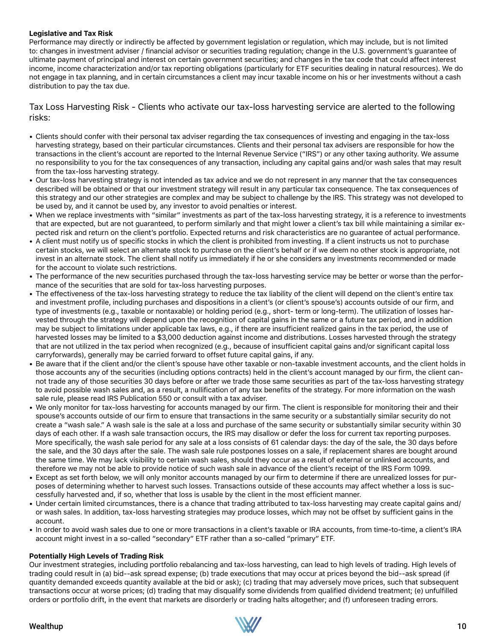#### **Legislative and Tax Risk**

Performance may directly or indirectly be affected by government legislation or regulation, which may include, but is not limited to: changes in investment adviser / financial advisor or securities trading regulation; change in the U.S. government's guarantee of ultimate payment of principal and interest on certain government securities; and changes in the tax code that could affect interest income, income characterization and/or tax reporting obligations (particularly for ETF securities dealing in natural resources). We do not engage in tax planning, and in certain circumstances a client may incur taxable income on his or her investments without a cash distribution to pay the tax due.

### Tax Loss Harvesting Risk - Clients who activate our tax-loss harvesting service are alerted to the following risks:

- Clients should confer with their personal tax adviser regarding the tax consequences of investing and engaging in the tax-loss harvesting strategy, based on their particular circumstances. Clients and their personal tax advisers are responsible for how the transactions in the client's account are reported to the Internal Revenue Service ("IRS") or any other taxing authority. We assume no responsibility to you for the tax consequences of any transaction, including any capital gains and/or wash sales that may result from the tax-loss harvesting strategy.
- Our tax-loss harvesting strategy is not intended as tax advice and we do not represent in any manner that the tax consequences described will be obtained or that our investment strategy will result in any particular tax consequence. The tax consequences of this strategy and our other strategies are complex and may be subject to challenge by the IRS. This strategy was not developed to be used by, and it cannot be used by, any investor to avoid penalties or interest.
- When we replace investments with "similar" investments as part of the tax-loss harvesting strategy, it is a reference to investments that are expected, but are not guaranteed, to perform similarly and that might lower a client's tax bill while maintaining a similar expected risk and return on the client's portfolio. Expected returns and risk characteristics are no guarantee of actual performance.
- A client must notify us of specific stocks in which the client is prohibited from investing. If a client instructs us not to purchase certain stocks, we will select an alternate stock to purchase on the client's behalf or if we deem no other stock is appropriate, not invest in an alternate stock. The client shall notify us immediately if he or she considers any investments recommended or made for the account to violate such restrictions.
- The performance of the new securities purchased through the tax-loss harvesting service may be better or worse than the performance of the securities that are sold for tax-loss harvesting purposes.
- The effectiveness of the tax-loss harvesting strategy to reduce the tax liability of the client will depend on the client's entire tax and investment profile, including purchases and dispositions in a client's (or client's spouse's) accounts outside of our firm, and type of investments (e.g., taxable or nontaxable) or holding period (e.g., short- term or long-term). The utilization of losses harvested through the strategy will depend upon the recognition of capital gains in the same or a future tax period, and in addition may be subject to limitations under applicable tax laws, e.g., if there are insufficient realized gains in the tax period, the use of harvested losses may be limited to a \$3,000 deduction against income and distributions. Losses harvested through the strategy that are not utilized in the tax period when recognized (e.g., because of insufficient capital gains and/or significant capital loss carryforwards), generally may be carried forward to offset future capital gains, if any.
- Be aware that if the client and/or the client's spouse have other taxable or non-taxable investment accounts, and the client holds in those accounts any of the securities (including options contracts) held in the client's account managed by our firm, the client cannot trade any of those securities 30 days before or after we trade those same securities as part of the tax-loss harvesting strategy to avoid possible wash sales and, as a result, a nullification of any tax benefits of the strategy. For more information on the wash sale rule, please read IRS Publication 550 or consult with a tax adviser.
- We only monitor for tax-loss harvesting for accounts managed by our firm. The client is responsible for monitoring their and their spouse's accounts outside of our firm to ensure that transactions in the same security or a substantially similar security do not create a "wash sale." A wash sale is the sale at a loss and purchase of the same security or substantially similar security within 30 days of each other. If a wash sale transaction occurs, the IRS may disallow or defer the loss for current tax reporting purposes. More specifically, the wash sale period for any sale at a loss consists of 61 calendar days: the day of the sale, the 30 days before the sale, and the 30 days after the sale. The wash sale rule postpones losses on a sale, if replacement shares are bought around the same time. We may lack visibility to certain wash sales, should they occur as a result of external or unlinked accounts, and therefore we may not be able to provide notice of such wash sale in advance of the client's receipt of the IRS Form 1099.
- Except as set forth below, we will only monitor accounts managed by our firm to determine if there are unrealized losses for purposes of determining whether to harvest such losses. Transactions outside of these accounts may affect whether a loss is successfully harvested and, if so, whether that loss is usable by the client in the most efficient manner.
- Under certain limited circumstances, there is a chance that trading attributed to tax-loss harvesting may create capital gains and/ or wash sales. In addition, tax-loss harvesting strategies may produce losses, which may not be offset by sufficient gains in the account.
- In order to avoid wash sales due to one or more transactions in a client's taxable or IRA accounts, from time-to-time, a client's IRA account might invest in a so-called "secondary" ETF rather than a so-called "primary" ETF.

### **Potentially High Levels of Trading Risk**

Our investment strategies, including portfolio rebalancing and tax-loss harvesting, can lead to high levels of trading. High levels of trading could result in (a) bid--ask spread expense; (b) trade executions that may occur at prices beyond the bid--ask spread (if quantity demanded exceeds quantity available at the bid or ask); (c) trading that may adversely move prices, such that subsequent transactions occur at worse prices; (d) trading that may disqualify some dividends from qualified dividend treatment; (e) unfulfilled orders or portfolio drift, in the event that markets are disorderly or trading halts altogether; and (f) unforeseen trading errors.

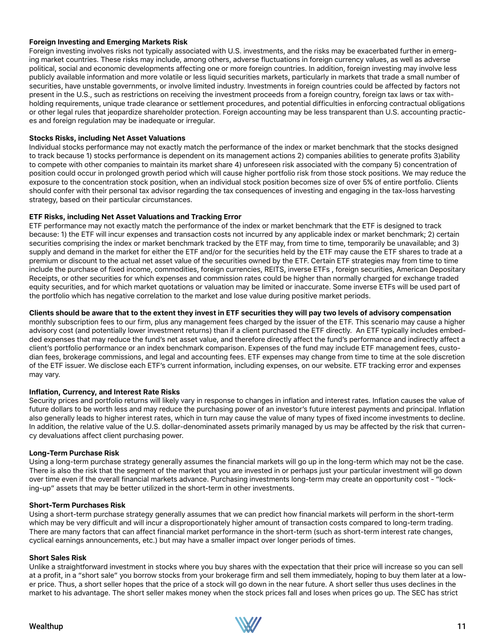#### **Foreign Investing and Emerging Markets Risk**

Foreign investing involves risks not typically associated with U.S. investments, and the risks may be exacerbated further in emerging market countries. These risks may include, among others, adverse fluctuations in foreign currency values, as well as adverse political, social and economic developments affecting one or more foreign countries. In addition, foreign investing may involve less publicly available information and more volatile or less liquid securities markets, particularly in markets that trade a small number of securities, have unstable governments, or involve limited industry. Investments in foreign countries could be affected by factors not present in the U.S., such as restrictions on receiving the investment proceeds from a foreign country, foreign tax laws or tax withholding requirements, unique trade clearance or settlement procedures, and potential difficulties in enforcing contractual obligations or other legal rules that jeopardize shareholder protection. Foreign accounting may be less transparent than U.S. accounting practices and foreign regulation may be inadequate or irregular.

#### **Stocks Risks, including Net Asset Valuations**

Individual stocks performance may not exactly match the performance of the index or market benchmark that the stocks designed to track because 1) stocks performance is dependent on its management actions 2) companies abilities to generate profits 3)ability to compete with other companies to maintain its market share 4) unforeseen risk associated with the company 5) concentration of position could occur in prolonged growth period which will cause higher portfolio risk from those stock positions. We may reduce the exposure to the concentration stock position, when an individual stock position becomes size of over 5% of entire portfolio. Clients should confer with their personal tax advisor regarding the tax consequences of investing and engaging in the tax-loss harvesting strategy, based on their particular circumstances.

#### **ETF Risks, including Net Asset Valuations and Tracking Error**

ETF performance may not exactly match the performance of the index or market benchmark that the ETF is designed to track because: 1) the ETF will incur expenses and transaction costs not incurred by any applicable index or market benchmark; 2) certain securities comprising the index or market benchmark tracked by the ETF may, from time to time, temporarily be unavailable; and 3) supply and demand in the market for either the ETF and/or for the securities held by the ETF may cause the ETF shares to trade at a premium or discount to the actual net asset value of the securities owned by the ETF. Certain ETF strategies may from time to time include the purchase of fixed income, commodities, foreign currencies, REITS, inverse ETFs , foreign securities, American Depositary Receipts, or other securities for which expenses and commission rates could be higher than normally charged for exchange traded equity securities, and for which market quotations or valuation may be limited or inaccurate. Some inverse ETFs will be used part of the portfolio which has negative correlation to the market and lose value during positive market periods.

#### **Clients should be aware that to the extent they invest in ETF securities they will pay two levels of advisory compensation**

monthly subscription fees to our firm, plus any management fees charged by the issuer of the ETF. This scenario may cause a higher advisory cost (and potentially lower investment returns) than if a client purchased the ETF directly. An ETF typically includes embedded expenses that may reduce the fund's net asset value, and therefore directly affect the fund's performance and indirectly affect a client's portfolio performance or an index benchmark comparison. Expenses of the fund may include ETF management fees, custodian fees, brokerage commissions, and legal and accounting fees. ETF expenses may change from time to time at the sole discretion of the ETF issuer. We disclose each ETF's current information, including expenses, on our website. ETF tracking error and expenses may vary.

#### **Inflation, Currency, and Interest Rate Risks**

Security prices and portfolio returns will likely vary in response to changes in inflation and interest rates. Inflation causes the value of future dollars to be worth less and may reduce the purchasing power of an investor's future interest payments and principal. Inflation also generally leads to higher interest rates, which in turn may cause the value of many types of fixed income investments to decline. In addition, the relative value of the U.S. dollar-denominated assets primarily managed by us may be affected by the risk that currency devaluations affect client purchasing power.

#### **Long-Term Purchase Risk**

Using a long-term purchase strategy generally assumes the financial markets will go up in the long-term which may not be the case. There is also the risk that the segment of the market that you are invested in or perhaps just your particular investment will go down over time even if the overall financial markets advance. Purchasing investments long-term may create an opportunity cost - "locking-up" assets that may be better utilized in the short-term in other investments.

#### **Short-Term Purchases Risk**

Using a short-term purchase strategy generally assumes that we can predict how financial markets will perform in the short-term which may be very difficult and will incur a disproportionately higher amount of transaction costs compared to long-term trading. There are many factors that can affect financial market performance in the short-term (such as short-term interest rate changes, cyclical earnings announcements, etc.) but may have a smaller impact over longer periods of times.

#### **Short Sales Risk**

Unlike a straightforward investment in stocks where you buy shares with the expectation that their price will increase so you can sell at a profit, in a "short sale" you borrow stocks from your brokerage firm and sell them immediately, hoping to buy them later at a lower price. Thus, a short seller hopes that the price of a stock will go down in the near future. A short seller thus uses declines in the market to his advantage. The short seller makes money when the stock prices fall and loses when prices go up. The SEC has strict

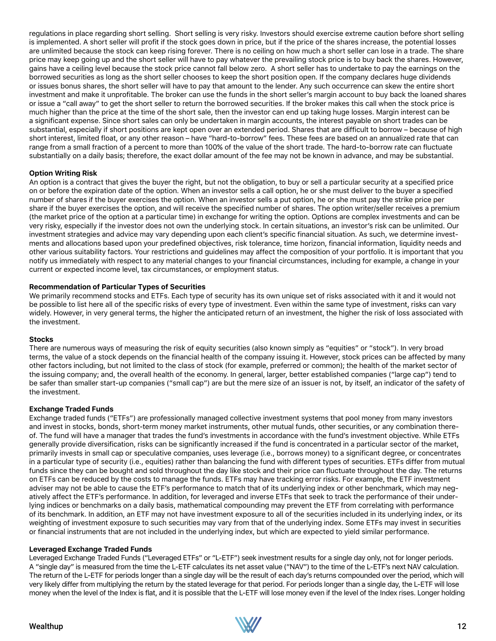regulations in place regarding short selling. Short selling is very risky. Investors should exercise extreme caution before short selling is implemented. A short seller will profit if the stock goes down in price, but if the price of the shares increase, the potential losses are unlimited because the stock can keep rising forever. There is no ceiling on how much a short seller can lose in a trade. The share price may keep going up and the short seller will have to pay whatever the prevailing stock price is to buy back the shares. However, gains have a ceiling level because the stock price cannot fall below zero. A short seller has to undertake to pay the earnings on the borrowed securities as long as the short seller chooses to keep the short position open. If the company declares huge dividends or issues bonus shares, the short seller will have to pay that amount to the lender. Any such occurrence can skew the entire short investment and make it unprofitable. The broker can use the funds in the short seller's margin account to buy back the loaned shares or issue a "call away" to get the short seller to return the borrowed securities. If the broker makes this call when the stock price is much higher than the price at the time of the short sale, then the investor can end up taking huge losses. Margin interest can be a significant expense. Since short sales can only be undertaken in margin accounts, the interest payable on short trades can be substantial, especially if short positions are kept open over an extended period. Shares that are difficult to borrow – because of high short interest, limited float, or any other reason – have "hard-to-borrow" fees. These fees are based on an annualized rate that can range from a small fraction of a percent to more than 100% of the value of the short trade. The hard-to-borrow rate can fluctuate substantially on a daily basis; therefore, the exact dollar amount of the fee may not be known in advance, and may be substantial.

#### **Option Writing Risk**

An option is a contract that gives the buyer the right, but not the obligation, to buy or sell a particular security at a specified price on or before the expiration date of the option. When an investor sells a call option, he or she must deliver to the buyer a specified number of shares if the buyer exercises the option. When an investor sells a put option, he or she must pay the strike price per share if the buyer exercises the option, and will receive the specified number of shares. The option writer/seller receives a premium (the market price of the option at a particular time) in exchange for writing the option. Options are complex investments and can be very risky, especially if the investor does not own the underlying stock. In certain situations, an investor's risk can be unlimited. Our investment strategies and advice may vary depending upon each client's specific financial situation. As such, we determine investments and allocations based upon your predefined objectives, risk tolerance, time horizon, financial information, liquidity needs and other various suitability factors. Your restrictions and guidelines may affect the composition of your portfolio. It is important that you notify us immediately with respect to any material changes to your financial circumstances, including for example, a change in your current or expected income level, tax circumstances, or employment status.

#### **Recommendation of Particular Types of Securities**

We primarily recommend stocks and ETFs. Each type of security has its own unique set of risks associated with it and it would not be possible to list here all of the specific risks of every type of investment. Even within the same type of investment, risks can vary widely. However, in very general terms, the higher the anticipated return of an investment, the higher the risk of loss associated with the investment.

#### **Stocks**

There are numerous ways of measuring the risk of equity securities (also known simply as "equities" or "stock"). In very broad terms, the value of a stock depends on the financial health of the company issuing it. However, stock prices can be affected by many other factors including, but not limited to the class of stock (for example, preferred or common); the health of the market sector of the issuing company; and, the overall health of the economy. In general, larger, better established companies ("large cap") tend to be safer than smaller start-up companies ("small cap") are but the mere size of an issuer is not, by itself, an indicator of the safety of the investment.

#### **Exchange Traded Funds**

Exchange traded funds ("ETFs") are professionally managed collective investment systems that pool money from many investors and invest in stocks, bonds, short-term money market instruments, other mutual funds, other securities, or any combination thereof. The fund will have a manager that trades the fund's investments in accordance with the fund's investment objective. While ETFs generally provide diversification, risks can be significantly increased if the fund is concentrated in a particular sector of the market, primarily invests in small cap or speculative companies, uses leverage (i.e., borrows money) to a significant degree, or concentrates in a particular type of security (i.e., equities) rather than balancing the fund with different types of securities. ETFs differ from mutual funds since they can be bought and sold throughout the day like stock and their price can fluctuate throughout the day. The returns on ETFs can be reduced by the costs to manage the funds. ETFs may have tracking error risks. For example, the ETF investment adviser may not be able to cause the ETF's performance to match that of its underlying index or other benchmark, which may negatively affect the ETF's performance. In addition, for leveraged and inverse ETFs that seek to track the performance of their underlying indices or benchmarks on a daily basis, mathematical compounding may prevent the ETF from correlating with performance of its benchmark. In addition, an ETF may not have investment exposure to all of the securities included in its underlying index, or its weighting of investment exposure to such securities may vary from that of the underlying index. Some ETFs may invest in securities or financial instruments that are not included in the underlying index, but which are expected to yield similar performance.

#### **Leveraged Exchange Traded Funds**

Leveraged Exchange Traded Funds ("Leveraged ETFs" or "L-ETF") seek investment results for a single day only, not for longer periods. A "single day" is measured from the time the L-ETF calculates its net asset value ("NAV") to the time of the L-ETF's next NAV calculation. The return of the L-ETF for periods longer than a single day will be the result of each day's returns compounded over the period, which will very likely differ from multiplying the return by the stated leverage for that period. For periods longer than a single day, the L-ETF will lose money when the level of the Index is flat, and it is possible that the L-ETF will lose money even if the level of the Index rises. Longer holding

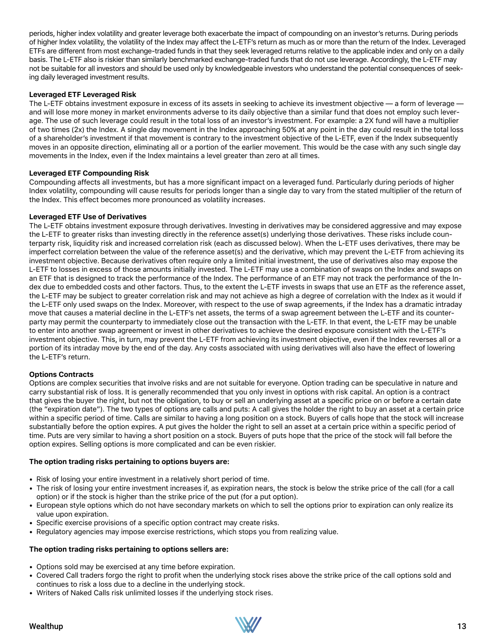periods, higher index volatility and greater leverage both exacerbate the impact of compounding on an investor's returns. During periods of higher Index volatility, the volatility of the Index may affect the L-ETF's return as much as or more than the return of the Index. Leveraged ETFs are different from most exchange-traded funds in that they seek leveraged returns relative to the applicable index and only on a daily basis. The L-ETF also is riskier than similarly benchmarked exchange-traded funds that do not use leverage. Accordingly, the L-ETF may not be suitable for all investors and should be used only by knowledgeable investors who understand the potential consequences of seeking daily leveraged investment results.

#### **Leveraged ETF Leveraged Risk**

The L-ETF obtains investment exposure in excess of its assets in seeking to achieve its investment objective — a form of leverage and will lose more money in market environments adverse to its daily objective than a similar fund that does not employ such leverage. The use of such leverage could result in the total loss of an investor's investment. For example: a 2X fund will have a multiplier of two times (2x) the Index. A single day movement in the Index approaching 50% at any point in the day could result in the total loss of a shareholder's investment if that movement is contrary to the investment objective of the L-ETF, even if the Index subsequently moves in an opposite direction, eliminating all or a portion of the earlier movement. This would be the case with any such single day movements in the Index, even if the Index maintains a level greater than zero at all times.

#### **Leveraged ETF Compounding Risk**

Compounding affects all investments, but has a more significant impact on a leveraged fund. Particularly during periods of higher Index volatility, compounding will cause results for periods longer than a single day to vary from the stated multiplier of the return of the Index. This effect becomes more pronounced as volatility increases.

#### **Leveraged ETF Use of Derivatives**

The L-ETF obtains investment exposure through derivatives. Investing in derivatives may be considered aggressive and may expose the L-ETF to greater risks than investing directly in the reference asset(s) underlying those derivatives. These risks include counterparty risk, liquidity risk and increased correlation risk (each as discussed below). When the L-ETF uses derivatives, there may be imperfect correlation between the value of the reference asset(s) and the derivative, which may prevent the L-ETF from achieving its investment objective. Because derivatives often require only a limited initial investment, the use of derivatives also may expose the L-ETF to losses in excess of those amounts initially invested. The L-ETF may use a combination of swaps on the Index and swaps on an ETF that is designed to track the performance of the Index. The performance of an ETF may not track the performance of the Index due to embedded costs and other factors. Thus, to the extent the L-ETF invests in swaps that use an ETF as the reference asset, the L-ETF may be subject to greater correlation risk and may not achieve as high a degree of correlation with the Index as it would if the L-ETF only used swaps on the Index. Moreover, with respect to the use of swap agreements, if the Index has a dramatic intraday move that causes a material decline in the L-ETF's net assets, the terms of a swap agreement between the L-ETF and its counterparty may permit the counterparty to immediately close out the transaction with the L-ETF. In that event, the L-ETF may be unable to enter into another swap agreement or invest in other derivatives to achieve the desired exposure consistent with the L-ETF's investment objective. This, in turn, may prevent the L-ETF from achieving its investment objective, even if the Index reverses all or a portion of its intraday move by the end of the day. Any costs associated with using derivatives will also have the effect of lowering the L-ETF's return.

#### **Options Contracts**

Options are complex securities that involve risks and are not suitable for everyone. Option trading can be speculative in nature and carry substantial risk of loss. It is generally recommended that you only invest in options with risk capital. An option is a contract that gives the buyer the right, but not the obligation, to buy or sell an underlying asset at a specific price on or before a certain date (the "expiration date"). The two types of options are calls and puts: A call gives the holder the right to buy an asset at a certain price within a specific period of time. Calls are similar to having a long position on a stock. Buyers of calls hope that the stock will increase substantially before the option expires. A put gives the holder the right to sell an asset at a certain price within a specific period of time. Puts are very similar to having a short position on a stock. Buyers of puts hope that the price of the stock will fall before the option expires. Selling options is more complicated and can be even riskier.

#### **The option trading risks pertaining to options buyers are:**

- Risk of losing your entire investment in a relatively short period of time.
- The risk of losing your entire investment increases if, as expiration nears, the stock is below the strike price of the call (for a call option) or if the stock is higher than the strike price of the put (for a put option).
- European style options which do not have secondary markets on which to sell the options prior to expiration can only realize its value upon expiration.
- Specific exercise provisions of a specific option contract may create risks.
- Regulatory agencies may impose exercise restrictions, which stops you from realizing value.

#### **The option trading risks pertaining to options sellers are:**

- Options sold may be exercised at any time before expiration.
- Covered Call traders forgo the right to profit when the underlying stock rises above the strike price of the call options sold and continues to risk a loss due to a decline in the underlying stock.
- Writers of Naked Calls risk unlimited losses if the underlying stock rises.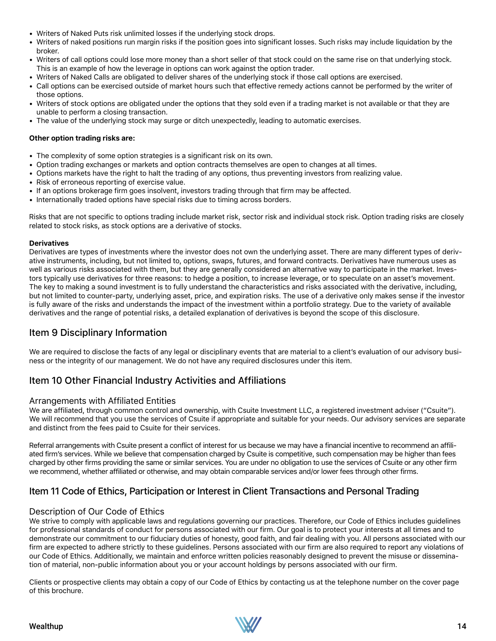- Writers of Naked Puts risk unlimited losses if the underlying stock drops.
- Writers of naked positions run margin risks if the position goes into significant losses. Such risks may include liquidation by the broker.
- Writers of call options could lose more money than a short seller of that stock could on the same rise on that underlying stock. This is an example of how the leverage in options can work against the option trader.
- Writers of Naked Calls are obligated to deliver shares of the underlying stock if those call options are exercised.
- Call options can be exercised outside of market hours such that effective remedy actions cannot be performed by the writer of those options.
- Writers of stock options are obligated under the options that they sold even if a trading market is not available or that they are unable to perform a closing transaction.
- The value of the underlying stock may surge or ditch unexpectedly, leading to automatic exercises.

#### **Other option trading risks are:**

- The complexity of some option strategies is a significant risk on its own.
- Option trading exchanges or markets and option contracts themselves are open to changes at all times.
- Options markets have the right to halt the trading of any options, thus preventing investors from realizing value.
- Risk of erroneous reporting of exercise value.
- If an options brokerage firm goes insolvent, investors trading through that firm may be affected.
- Internationally traded options have special risks due to timing across borders.

Risks that are not specific to options trading include market risk, sector risk and individual stock risk. Option trading risks are closely related to stock risks, as stock options are a derivative of stocks.

#### **Derivatives**

Derivatives are types of investments where the investor does not own the underlying asset. There are many different types of derivative instruments, including, but not limited to, options, swaps, futures, and forward contracts. Derivatives have numerous uses as well as various risks associated with them, but they are generally considered an alternative way to participate in the market. Investors typically use derivatives for three reasons: to hedge a position, to increase leverage, or to speculate on an asset's movement. The key to making a sound investment is to fully understand the characteristics and risks associated with the derivative, including, but not limited to counter-party, underlying asset, price, and expiration risks. The use of a derivative only makes sense if the investor is fully aware of the risks and understands the impact of the investment within a portfolio strategy. Due to the variety of available derivatives and the range of potential risks, a detailed explanation of derivatives is beyond the scope of this disclosure.

### Item 9 Disciplinary Information

We are required to disclose the facts of any legal or disciplinary events that are material to a client's evaluation of our advisory business or the integrity of our management. We do not have any required disclosures under this item.

### Item 10 Other Financial Industry Activities and Affiliations

### Arrangements with Affiliated Entities

We are affiliated, through common control and ownership, with Csuite Investment LLC, a registered investment adviser ("Csuite"). We will recommend that you use the services of Csuite if appropriate and suitable for your needs. Our advisory services are separate and distinct from the fees paid to Csuite for their services.

Referral arrangements with Csuite present a conflict of interest for us because we may have a financial incentive to recommend an affiliated firm's services. While we believe that compensation charged by Csuite is competitive, such compensation may be higher than fees charged by other firms providing the same or similar services. You are under no obligation to use the services of Csuite or any other firm we recommend, whether affiliated or otherwise, and may obtain comparable services and/or lower fees through other firms.

### Item 11 Code of Ethics, Participation or Interest in Client Transactions and Personal Trading

### Description of Our Code of Ethics

We strive to comply with applicable laws and regulations governing our practices. Therefore, our Code of Ethics includes guidelines for professional standards of conduct for persons associated with our firm. Our goal is to protect your interests at all times and to demonstrate our commitment to our fiduciary duties of honesty, good faith, and fair dealing with you. All persons associated with our firm are expected to adhere strictly to these guidelines. Persons associated with our firm are also required to report any violations of our Code of Ethics. Additionally, we maintain and enforce written policies reasonably designed to prevent the misuse or dissemination of material, non-public information about you or your account holdings by persons associated with our firm.

Clients or prospective clients may obtain a copy of our Code of Ethics by contacting us at the telephone number on the cover page of this brochure.

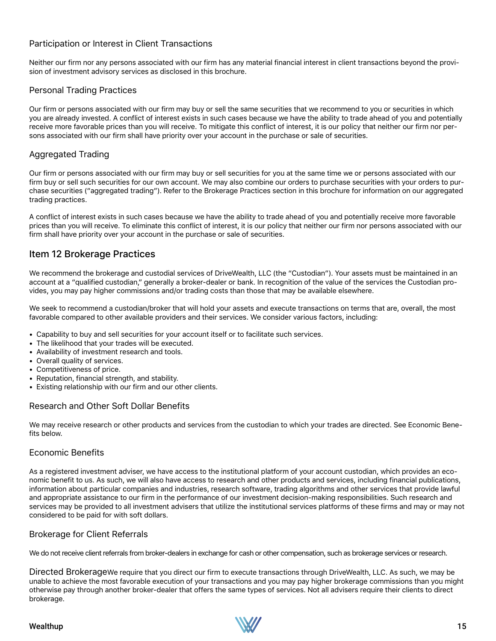### Participation or Interest in Client Transactions

Neither our firm nor any persons associated with our firm has any material financial interest in client transactions beyond the provision of investment advisory services as disclosed in this brochure.

### Personal Trading Practices

Our firm or persons associated with our firm may buy or sell the same securities that we recommend to you or securities in which you are already invested. A conflict of interest exists in such cases because we have the ability to trade ahead of you and potentially receive more favorable prices than you will receive. To mitigate this conflict of interest, it is our policy that neither our firm nor persons associated with our firm shall have priority over your account in the purchase or sale of securities.

### Aggregated Trading

Our firm or persons associated with our firm may buy or sell securities for you at the same time we or persons associated with our firm buy or sell such securities for our own account. We may also combine our orders to purchase securities with your orders to purchase securities ("aggregated trading"). Refer to the Brokerage Practices section in this brochure for information on our aggregated trading practices.

A conflict of interest exists in such cases because we have the ability to trade ahead of you and potentially receive more favorable prices than you will receive. To eliminate this conflict of interest, it is our policy that neither our firm nor persons associated with our firm shall have priority over your account in the purchase or sale of securities.

### Item 12 Brokerage Practices

We recommend the brokerage and custodial services of DriveWealth, LLC (the "Custodian"). Your assets must be maintained in an account at a "qualified custodian," generally a broker-dealer or bank. In recognition of the value of the services the Custodian provides, you may pay higher commissions and/or trading costs than those that may be available elsewhere.

We seek to recommend a custodian/broker that will hold your assets and execute transactions on terms that are, overall, the most favorable compared to other available providers and their services. We consider various factors, including:

- Capability to buy and sell securities for your account itself or to facilitate such services.
- The likelihood that your trades will be executed.
- Availability of investment research and tools.
- Overall quality of services.
- Competitiveness of price.
- Reputation, financial strength, and stability.
- Existing relationship with our firm and our other clients.

### Research and Other Soft Dollar Benefits

We may receive research or other products and services from the custodian to which your trades are directed. See Economic Benefits below.

### Economic Benefits

As a registered investment adviser, we have access to the institutional platform of your account custodian, which provides an economic benefit to us. As such, we will also have access to research and other products and services, including financial publications, information about particular companies and industries, research software, trading algorithms and other services that provide lawful and appropriate assistance to our firm in the performance of our investment decision-making responsibilities. Such research and services may be provided to all investment advisers that utilize the institutional services platforms of these firms and may or may not considered to be paid for with soft dollars.

### Brokerage for Client Referrals

We do not receive client referrals from broker-dealers in exchange for cash or other compensation, such as brokerage services or research.

Directed BrokerageWe require that you direct our firm to execute transactions through DriveWealth, LLC. As such, we may be unable to achieve the most favorable execution of your transactions and you may pay higher brokerage commissions than you might otherwise pay through another broker-dealer that offers the same types of services. Not all advisers require their clients to direct brokerage.

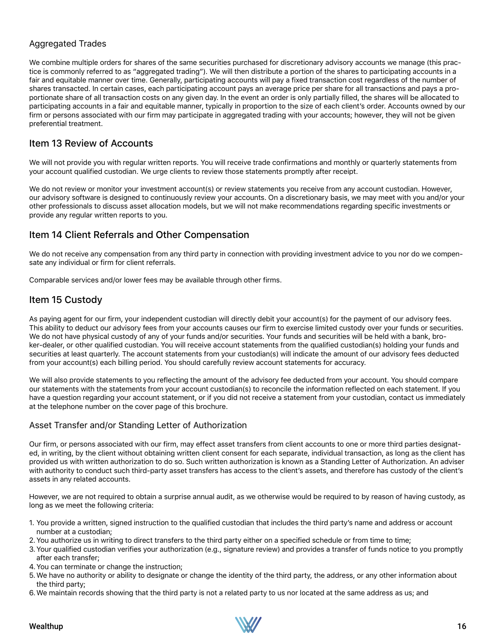### Aggregated Trades

We combine multiple orders for shares of the same securities purchased for discretionary advisory accounts we manage (this practice is commonly referred to as "aggregated trading"). We will then distribute a portion of the shares to participating accounts in a fair and equitable manner over time. Generally, participating accounts will pay a fixed transaction cost regardless of the number of shares transacted. In certain cases, each participating account pays an average price per share for all transactions and pays a proportionate share of all transaction costs on any given day. In the event an order is only partially filled, the shares will be allocated to participating accounts in a fair and equitable manner, typically in proportion to the size of each client's order. Accounts owned by our firm or persons associated with our firm may participate in aggregated trading with your accounts; however, they will not be given preferential treatment.

### Item 13 Review of Accounts

We will not provide you with regular written reports. You will receive trade confirmations and monthly or quarterly statements from your account qualified custodian. We urge clients to review those statements promptly after receipt.

We do not review or monitor your investment account(s) or review statements you receive from any account custodian. However, our advisory software is designed to continuously review your accounts. On a discretionary basis, we may meet with you and/or your other professionals to discuss asset allocation models, but we will not make recommendations regarding specific investments or provide any regular written reports to you.

### Item 14 Client Referrals and Other Compensation

We do not receive any compensation from any third party in connection with providing investment advice to you nor do we compensate any individual or firm for client referrals.

Comparable services and/or lower fees may be available through other firms.

### Item 15 Custody

As paying agent for our firm, your independent custodian will directly debit your account(s) for the payment of our advisory fees. This ability to deduct our advisory fees from your accounts causes our firm to exercise limited custody over your funds or securities. We do not have physical custody of any of your funds and/or securities. Your funds and securities will be held with a bank, broker-dealer, or other qualified custodian. You will receive account statements from the qualified custodian(s) holding your funds and securities at least quarterly. The account statements from your custodian(s) will indicate the amount of our advisory fees deducted from your account(s) each billing period. You should carefully review account statements for accuracy.

We will also provide statements to you reflecting the amount of the advisory fee deducted from your account. You should compare our statements with the statements from your account custodian(s) to reconcile the information reflected on each statement. If you have a question regarding your account statement, or if you did not receive a statement from your custodian, contact us immediately at the telephone number on the cover page of this brochure.

### Asset Transfer and/or Standing Letter of Authorization

Our firm, or persons associated with our firm, may effect asset transfers from client accounts to one or more third parties designated, in writing, by the client without obtaining written client consent for each separate, individual transaction, as long as the client has provided us with written authorization to do so. Such written authorization is known as a Standing Letter of Authorization. An adviser with authority to conduct such third-party asset transfers has access to the client's assets, and therefore has custody of the client's assets in any related accounts.

However, we are not required to obtain a surprise annual audit, as we otherwise would be required to by reason of having custody, as long as we meet the following criteria:

- 1. You provide a written, signed instruction to the qualified custodian that includes the third party's name and address or account number at a custodian;
- 2.You authorize us in writing to direct transfers to the third party either on a specified schedule or from time to time;
- 3.Your qualified custodian verifies your authorization (e.g., signature review) and provides a transfer of funds notice to you promptly after each transfer;
- 4.You can terminate or change the instruction;
- 5.We have no authority or ability to designate or change the identity of the third party, the address, or any other information about the third party;
- 6.We maintain records showing that the third party is not a related party to us nor located at the same address as us; and

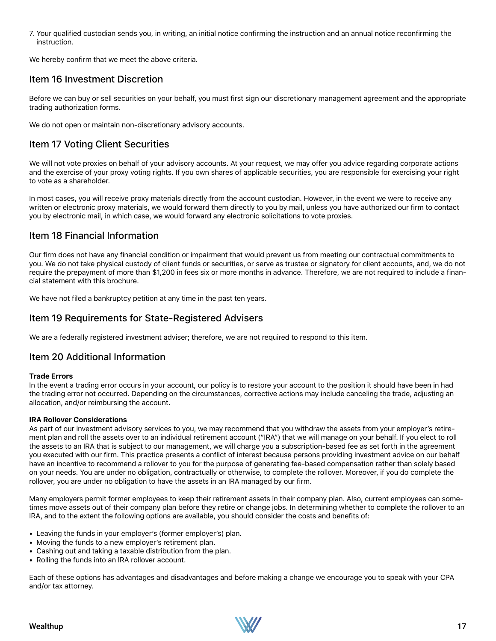7. Your qualified custodian sends you, in writing, an initial notice confirming the instruction and an annual notice reconfirming the instruction.

We hereby confirm that we meet the above criteria.

### Item 16 Investment Discretion

Before we can buy or sell securities on your behalf, you must first sign our discretionary management agreement and the appropriate trading authorization forms.

We do not open or maintain non-discretionary advisory accounts.

### Item 17 Voting Client Securities

We will not vote proxies on behalf of your advisory accounts. At your request, we may offer you advice regarding corporate actions and the exercise of your proxy voting rights. If you own shares of applicable securities, you are responsible for exercising your right to vote as a shareholder.

In most cases, you will receive proxy materials directly from the account custodian. However, in the event we were to receive any written or electronic proxy materials, we would forward them directly to you by mail, unless you have authorized our firm to contact you by electronic mail, in which case, we would forward any electronic solicitations to vote proxies.

### Item 18 Financial Information

Our firm does not have any financial condition or impairment that would prevent us from meeting our contractual commitments to you. We do not take physical custody of client funds or securities, or serve as trustee or signatory for client accounts, and, we do not require the prepayment of more than \$1,200 in fees six or more months in advance. Therefore, we are not required to include a financial statement with this brochure.

We have not filed a bankruptcy petition at any time in the past ten years.

### Item 19 Requirements for State-Registered Advisers

We are a federally registered investment adviser; therefore, we are not required to respond to this item.

### Item 20 Additional Information

#### **Trade Errors**

In the event a trading error occurs in your account, our policy is to restore your account to the position it should have been in had the trading error not occurred. Depending on the circumstances, corrective actions may include canceling the trade, adjusting an allocation, and/or reimbursing the account.

### **IRA Rollover Considerations**

As part of our investment advisory services to you, we may recommend that you withdraw the assets from your employer's retirement plan and roll the assets over to an individual retirement account ("IRA") that we will manage on your behalf. If you elect to roll the assets to an IRA that is subject to our management, we will charge you a subscription-based fee as set forth in the agreement you executed with our firm. This practice presents a conflict of interest because persons providing investment advice on our behalf have an incentive to recommend a rollover to you for the purpose of generating fee-based compensation rather than solely based on your needs. You are under no obligation, contractually or otherwise, to complete the rollover. Moreover, if you do complete the rollover, you are under no obligation to have the assets in an IRA managed by our firm.

Many employers permit former employees to keep their retirement assets in their company plan. Also, current employees can sometimes move assets out of their company plan before they retire or change jobs. In determining whether to complete the rollover to an IRA, and to the extent the following options are available, you should consider the costs and benefits of:

- Leaving the funds in your employer's (former employer's) plan.
- Moving the funds to a new employer's retirement plan.
- Cashing out and taking a taxable distribution from the plan.
- Rolling the funds into an IRA rollover account.

Each of these options has advantages and disadvantages and before making a change we encourage you to speak with your CPA and/or tax attorney.

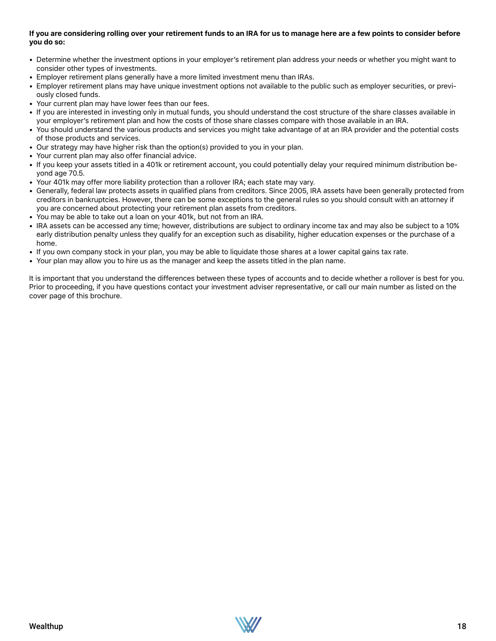### **If you are considering rolling over your retirement funds to an IRA for us to manage here are a few points to consider before you do so:**

- Determine whether the investment options in your employer's retirement plan address your needs or whether you might want to consider other types of investments.
- Employer retirement plans generally have a more limited investment menu than IRAs.
- Employer retirement plans may have unique investment options not available to the public such as employer securities, or previously closed funds.
- Your current plan may have lower fees than our fees.
- If you are interested in investing only in mutual funds, you should understand the cost structure of the share classes available in your employer's retirement plan and how the costs of those share classes compare with those available in an IRA.
- You should understand the various products and services you might take advantage of at an IRA provider and the potential costs of those products and services.
- Our strategy may have higher risk than the option(s) provided to you in your plan.
- Your current plan may also offer financial advice.
- If you keep your assets titled in a 401k or retirement account, you could potentially delay your required minimum distribution beyond age 70.5.
- Your 401k may offer more liability protection than a rollover IRA; each state may vary.
- Generally, federal law protects assets in qualified plans from creditors. Since 2005, IRA assets have been generally protected from creditors in bankruptcies. However, there can be some exceptions to the general rules so you should consult with an attorney if you are concerned about protecting your retirement plan assets from creditors.
- You may be able to take out a loan on your 401k, but not from an IRA.
- IRA assets can be accessed any time; however, distributions are subject to ordinary income tax and may also be subject to a 10% early distribution penalty unless they qualify for an exception such as disability, higher education expenses or the purchase of a home.
- If you own company stock in your plan, you may be able to liquidate those shares at a lower capital gains tax rate.
- Your plan may allow you to hire us as the manager and keep the assets titled in the plan name.

It is important that you understand the differences between these types of accounts and to decide whether a rollover is best for you. Prior to proceeding, if you have questions contact your investment adviser representative, or call our main number as listed on the cover page of this brochure.

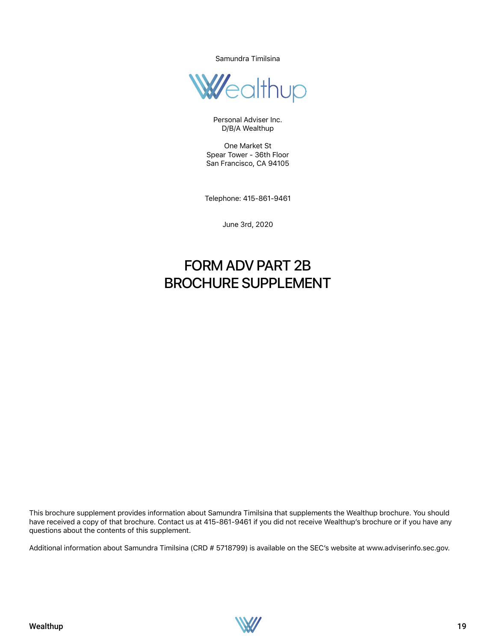Samundra Timilsina



Personal Adviser Inc. D/B/A Wealthup

One Market St Spear Tower - 36th Floor San Francisco, CA 94105

Telephone: 415-861-9461

June 3rd, 2020

# FORM ADV PART 2B BROCHURE SUPPLEMENT

This brochure supplement provides information about Samundra Timilsina that supplements the Wealthup brochure. You should have received a copy of that brochure. Contact us at 415-861-9461 if you did not receive Wealthup's brochure or if you have any questions about the contents of this supplement.

Additional information about Samundra Timilsina (CRD # 5718799) is available on the SEC's website at www.adviserinfo.sec.gov.

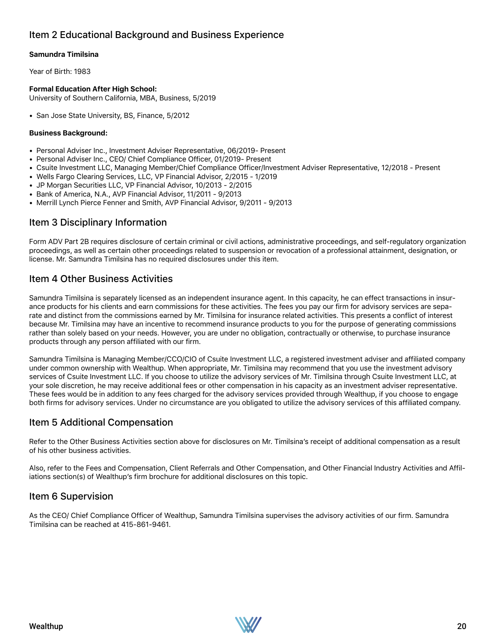### Item 2 Educational Background and Business Experience

### **Samundra Timilsina**

Year of Birth: 1983

### **Formal Education After High School:**

University of Southern California, MBA, Business, 5/2019

• San Jose State University, BS, Finance, 5/2012

#### **Business Background:**

- Personal Adviser Inc., Investment Adviser Representative, 06/2019- Present
- Personal Adviser Inc., CEO/ Chief Compliance Officer, 01/2019- Present
- Csuite Investment LLC, Managing Member/Chief Compliance Officer/Investment Adviser Representative, 12/2018 Present
- Wells Fargo Clearing Services, LLC, VP Financial Advisor, 2/2015 1/2019
- JP Morgan Securities LLC, VP Financial Advisor, 10/2013 2/2015
- Bank of America, N.A., AVP Financial Advisor, 11/2011 9/2013
- Merrill Lynch Pierce Fenner and Smith, AVP Financial Advisor, 9/2011 9/2013

### Item 3 Disciplinary Information

Form ADV Part 2B requires disclosure of certain criminal or civil actions, administrative proceedings, and self-regulatory organization proceedings, as well as certain other proceedings related to suspension or revocation of a professional attainment, designation, or license. Mr. Samundra Timilsina has no required disclosures under this item.

### Item 4 Other Business Activities

Samundra Timilsina is separately licensed as an independent insurance agent. In this capacity, he can effect transactions in insurance products for his clients and earn commissions for these activities. The fees you pay our firm for advisory services are separate and distinct from the commissions earned by Mr. Timilsina for insurance related activities. This presents a conflict of interest because Mr. Timilsina may have an incentive to recommend insurance products to you for the purpose of generating commissions rather than solely based on your needs. However, you are under no obligation, contractually or otherwise, to purchase insurance products through any person affiliated with our firm.

Samundra Timilsina is Managing Member/CCO/CIO of Csuite Investment LLC, a registered investment adviser and affiliated company under common ownership with Wealthup. When appropriate, Mr. Timilsina may recommend that you use the investment advisory services of Csuite Investment LLC. If you choose to utilize the advisory services of Mr. Timilsina through Csuite Investment LLC, at your sole discretion, he may receive additional fees or other compensation in his capacity as an investment adviser representative. These fees would be in addition to any fees charged for the advisory services provided through Wealthup, if you choose to engage both firms for advisory services. Under no circumstance are you obligated to utilize the advisory services of this affiliated company.

### Item 5 Additional Compensation

Refer to the Other Business Activities section above for disclosures on Mr. Timilsina's receipt of additional compensation as a result of his other business activities.

Also, refer to the Fees and Compensation, Client Referrals and Other Compensation, and Other Financial Industry Activities and Affiliations section(s) of Wealthup's firm brochure for additional disclosures on this topic.

### Item 6 Supervision

As the CEO/ Chief Compliance Officer of Wealthup, Samundra Timilsina supervises the advisory activities of our firm. Samundra Timilsina can be reached at 415-861-9461.

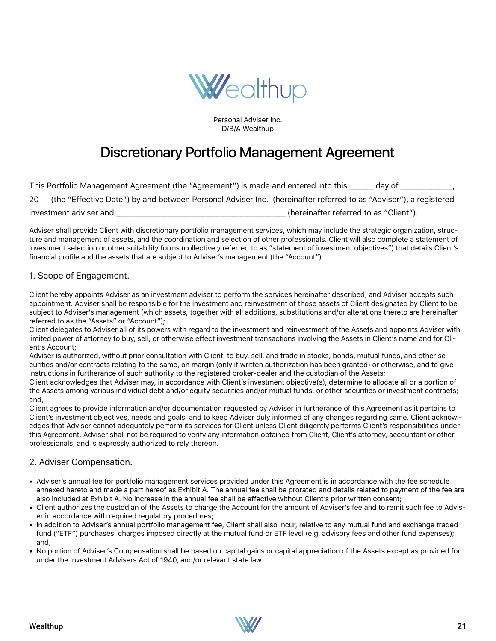

Personal Adviser Inc. D/B/A Wealthup

# Discretionary Portfolio Management Agreement

| This Portfolio Management Agreement (the "Agreement") is made and entered into this                                 | dav of                                 |
|---------------------------------------------------------------------------------------------------------------------|----------------------------------------|
| 20 (the "Effective Date") by and between Personal Adviser Inc. (hereinafter referred to as "Adviser"), a registered |                                        |
| investment adviser and                                                                                              | (hereinafter referred to as "Client"). |

Adviser shall provide Client with discretionary portfolio management services, which may include the strategic organization, structure and management of assets, and the coordination and selection of other professionals. Client will also complete a statement of investment selection or other suitability forms (collectively referred to as "statement of investment objectives") that details Client's financial profile and the assets that are subject to Adviser's management (the "Account").

### 1. Scope of Engagement.

Client hereby appoints Adviser as an investment adviser to perform the services hereinafter described, and Adviser accepts such appointment. Adviser shall be responsible for the investment and reinvestment of those assets of Client designated by Client to be subject to Adviser's management (which assets, together with all additions, substitutions and/or alterations thereto are hereinafter referred to as the "Assets" or "Account");

Client delegates to Adviser all of its powers with regard to the investment and reinvestment of the Assets and appoints Adviser with limited power of attorney to buy, sell, or otherwise effect investment transactions involving the Assets in Client's name and for Client's Account;

Adviser is authorized, without prior consultation with Client, to buy, sell, and trade in stocks, bonds, mutual funds, and other securities and/or contracts relating to the same, on margin (only if written authorization has been granted) or otherwise, and to give instructions in furtherance of such authority to the registered broker-dealer and the custodian of the Assets;

Client acknowledges that Adviser may, in accordance with Client's investment objective(s), determine to allocate all or a portion of the Assets among various individual debt and/or equity securities and/or mutual funds, or other securities or investment contracts; and,

Client agrees to provide information and/or documentation requested by Adviser in furtherance of this Agreement as it pertains to Client's investment objectives, needs and goals, and to keep Adviser duly informed of any changes regarding same. Client acknowledges that Adviser cannot adequately perform its services for Client unless Client diligently performs Client's responsibilities under this Agreement. Adviser shall not be required to verify any information obtained from Client, Client's attorney, accountant or other professionals, and is expressly authorized to rely thereon.

### 2. Adviser Compensation.

- Adviser's annual fee for portfolio management services provided under this Agreement is in accordance with the fee schedule annexed hereto and made a part hereof as Exhibit A. The annual fee shall be prorated and details related to payment of the fee are also included at Exhibit A. No increase in the annual fee shall be effective without Client's prior written consent;
- Client authorizes the custodian of the Assets to charge the Account for the amount of Adviser's fee and to remit such fee to Adviser in accordance with required regulatory procedures;
- In addition to Adviser's annual portfolio management fee, Client shall also incur, relative to any mutual fund and exchange traded fund ("ETF") purchases, charges imposed directly at the mutual fund or ETF level (e.g. advisory fees and other fund expenses); and,
- No portion of Adviser's Compensation shall be based on capital gains or capital appreciation of the Assets except as provided for under the Investment Advisers Act of 1940, and/or relevant state law.

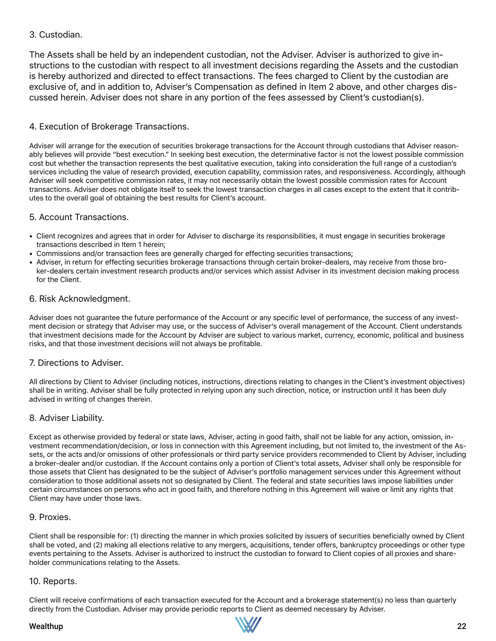### 3. Custodian.

The Assets shall be held by an independent custodian, not the Adviser. Adviser is authorized to give instructions to the custodian with respect to all investment decisions regarding the Assets and the custodian is hereby authorized and directed to effect transactions. The fees charged to Client by the custodian are exclusive of, and in addition to, Adviser's Compensation as defined in Item 2 above, and other charges discussed herein. Adviser does not share in any portion of the fees assessed by Client's custodian(s).

### 4. Execution of Brokerage Transactions.

Adviser will arrange for the execution of securities brokerage transactions for the Account through custodians that Adviser reasonably believes will provide "best execution." In seeking best execution, the determinative factor is not the lowest possible commission cost but whether the transaction represents the best qualitative execution, taking into consideration the full range of a custodian's services including the value of research provided, execution capability, commission rates, and responsiveness. Accordingly, although Adviser will seek competitive commission rates, it may not necessarily obtain the lowest possible commission rates for Account transactions. Adviser does not obligate itself to seek the lowest transaction charges in all cases except to the extent that it contributes to the overall goal of obtaining the best results for Client's account.

### 5. Account Transactions.

- Client recognizes and agrees that in order for Adviser to discharge its responsibilities, it must engage in securities brokerage transactions described in Item 1 herein;
- Commissions and/or transaction fees are generally charged for effecting securities transactions;
- Adviser, in return for effecting securities brokerage transactions through certain broker-dealers, may receive from those broker-dealers certain investment research products and/or services which assist Adviser in its investment decision making process for the Client.

### 6. Risk Acknowledgment.

Adviser does not guarantee the future performance of the Account or any specific level of performance, the success of any investment decision or strategy that Adviser may use, or the success of Adviser's overall management of the Account. Client understands that investment decisions made for the Account by Adviser are subject to various market, currency, economic, political and business risks, and that those investment decisions will not always be profitable.

### 7. Directions to Adviser.

All directions by Client to Adviser (including notices, instructions, directions relating to changes in the Client's investment objectives) shall be in writing. Adviser shall be fully protected in relying upon any such direction, notice, or instruction until it has been duly advised in writing of changes therein.

### 8. Adviser Liability.

Except as otherwise provided by federal or state laws, Adviser, acting in good faith, shall not be liable for any action, omission, investment recommendation/decision, or loss in connection with this Agreement including, but not limited to, the investment of the Assets, or the acts and/or omissions of other professionals or third party service providers recommended to Client by Adviser, including a broker-dealer and/or custodian. If the Account contains only a portion of Client's total assets, Adviser shall only be responsible for those assets that Client has designated to be the subject of Adviser's portfolio management services under this Agreement without consideration to those additional assets not so designated by Client. The federal and state securities laws impose liabilities under certain circumstances on persons who act in good faith, and therefore nothing in this Agreement will waive or limit any rights that Client may have under those laws.

### 9. Proxies.

Client shall be responsible for: (1) directing the manner in which proxies solicited by issuers of securities beneficially owned by Client shall be voted, and (2) making all elections relative to any mergers, acquisitions, tender offers, bankruptcy proceedings or other type events pertaining to the Assets. Adviser is authorized to instruct the custodian to forward to Client copies of all proxies and shareholder communications relating to the Assets.

### 10. Reports.

Client will receive confirmations of each transaction executed for the Account and a brokerage statement(s) no less than quarterly directly from the Custodian. Adviser may provide periodic reports to Client as deemed necessary by Adviser.

### Wealthup 22

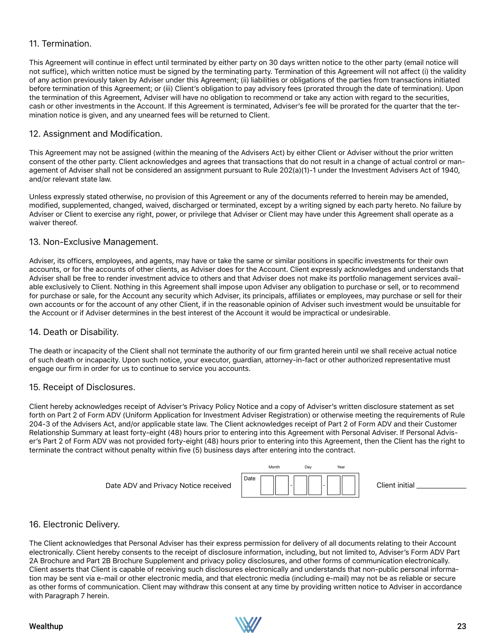### 11. Termination.

This Agreement will continue in effect until terminated by either party on 30 days written notice to the other party (email notice will not suffice), which written notice must be signed by the terminating party. Termination of this Agreement will not affect (i) the validity of any action previously taken by Adviser under this Agreement; (ii) liabilities or obligations of the parties from transactions initiated before termination of this Agreement; or (iii) Client's obligation to pay advisory fees (prorated through the date of termination). Upon the termination of this Agreement, Adviser will have no obligation to recommend or take any action with regard to the securities, cash or other investments in the Account. If this Agreement is terminated, Adviser's fee will be prorated for the quarter that the termination notice is given, and any unearned fees will be returned to Client.

### 12. Assignment and Modification.

This Agreement may not be assigned (within the meaning of the Advisers Act) by either Client or Adviser without the prior written consent of the other party. Client acknowledges and agrees that transactions that do not result in a change of actual control or management of Adviser shall not be considered an assignment pursuant to Rule 202(a)(1)-1 under the Investment Advisers Act of 1940, and/or relevant state law.

Unless expressly stated otherwise, no provision of this Agreement or any of the documents referred to herein may be amended, modified, supplemented, changed, waived, discharged or terminated, except by a writing signed by each party hereto. No failure by Adviser or Client to exercise any right, power, or privilege that Adviser or Client may have under this Agreement shall operate as a waiver thereof.

### 13. Non-Exclusive Management.

Adviser, its officers, employees, and agents, may have or take the same or similar positions in specific investments for their own accounts, or for the accounts of other clients, as Adviser does for the Account. Client expressly acknowledges and understands that Adviser shall be free to render investment advice to others and that Adviser does not make its portfolio management services available exclusively to Client. Nothing in this Agreement shall impose upon Adviser any obligation to purchase or sell, or to recommend for purchase or sale, for the Account any security which Adviser, its principals, affiliates or employees, may purchase or sell for their own accounts or for the account of any other Client, if in the reasonable opinion of Adviser such investment would be unsuitable for the Account or if Adviser determines in the best interest of the Account it would be impractical or undesirable.

### 14. Death or Disability.

The death or incapacity of the Client shall not terminate the authority of our firm granted herein until we shall receive actual notice of such death or incapacity. Upon such notice, your executor, guardian, attorney-in-fact or other authorized representative must engage our firm in order for us to continue to service you accounts.

### 15. Receipt of Disclosures.

Client hereby acknowledges receipt of Adviser's Privacy Policy Notice and a copy of Adviser's written disclosure statement as set forth on Part 2 of Form ADV (Uniform Application for Investment Adviser Registration) or otherwise meeting the requirements of Rule 204-3 of the Advisers Act, and/or applicable state law. The Client acknowledges receipt of Part 2 of Form ADV and their Customer Relationship Summary at least forty-eight (48) hours prior to entering into this Agreement with Personal Adviser. If Personal Adviser's Part 2 of Form ADV was not provided forty-eight (48) hours prior to entering into this Agreement, then the Client has the right to terminate the contract without penalty within five (5) business days after entering into the contract.



Client initial

### 16. Electronic Delivery.

The Client acknowledges that Personal Adviser has their express permission for delivery of all documents relating to their Account electronically. Client hereby consents to the receipt of disclosure information, including, but not limited to, Adviser's Form ADV Part 2A Brochure and Part 2B Brochure Supplement and privacy policy disclosures, and other forms of communication electronically. Client asserts that Client is capable of receiving such disclosures electronically and understands that non-public personal information may be sent via e-mail or other electronic media, and that electronic media (including e-mail) may not be as reliable or secure as other forms of communication. Client may withdraw this consent at any time by providing written notice to Adviser in accordance with Paragraph 7 herein.

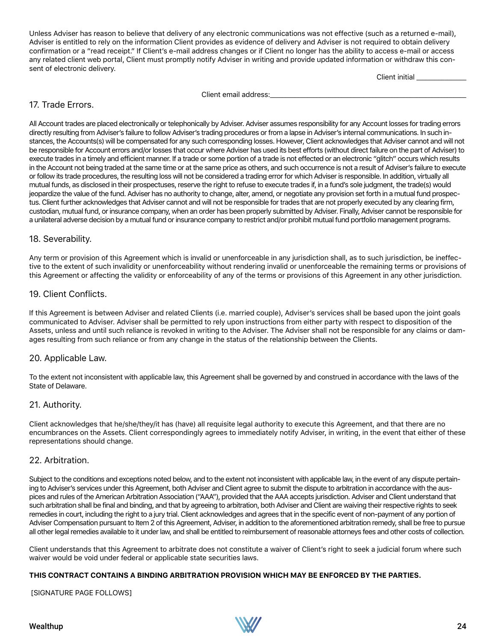Unless Adviser has reason to believe that delivery of any electronic communications was not effective (such as a returned e-mail), Adviser is entitled to rely on the information Client provides as evidence of delivery and Adviser is not required to obtain delivery confirmation or a "read receipt." If Client's e-mail address changes or if Client no longer has the ability to access e-mail or access any related client web portal, Client must promptly notify Adviser in writing and provide updated information or withdraw this consent of electronic delivery.

Client initial \_\_\_\_\_\_\_\_\_\_\_\_\_\_\_\_

Client email address:

### 17. Trade Errors.

All Account trades are placed electronically or telephonically by Adviser. Adviser assumes responsibility for any Account losses for trading errors directly resulting from Adviser's failure to follow Adviser's trading procedures or from a lapse in Adviser's internal communications. In such instances, the Accounts(s) will be compensated for any such corresponding losses. However, Client acknowledges that Adviser cannot and will not be responsible for Account errors and/or losses that occur where Adviser has used its best efforts (without direct failure on the part of Adviser) to execute trades in a timely and efficient manner. If a trade or some portion of a trade is not effected or an electronic "glitch" occurs which results in the Account not being traded at the same time or at the same price as others, and such occurrence is not a result of Adviser's failure to execute or follow its trade procedures, the resulting loss will not be considered a trading error for which Adviser is responsible. In addition, virtually all mutual funds, as disclosed in their prospectuses, reserve the right to refuse to execute trades if, in a fund's sole judgment, the trade(s) would jeopardize the value of the fund. Adviser has no authority to change, alter, amend, or negotiate any provision set forth in a mutual fund prospectus. Client further acknowledges that Adviser cannot and will not be responsible for trades that are not properly executed by any clearing firm, custodian, mutual fund, or insurance company, when an order has been properly submitted by Adviser. Finally, Adviser cannot be responsible for a unilateral adverse decision by a mutual fund or insurance company to restrict and/or prohibit mutual fund portfolio management programs.

### 18. Severability.

Any term or provision of this Agreement which is invalid or unenforceable in any jurisdiction shall, as to such jurisdiction, be ineffective to the extent of such invalidity or unenforceability without rendering invalid or unenforceable the remaining terms or provisions of this Agreement or affecting the validity or enforceability of any of the terms or provisions of this Agreement in any other jurisdiction.

### 19. Client Conflicts.

If this Agreement is between Adviser and related Clients (i.e. married couple), Adviser's services shall be based upon the joint goals communicated to Adviser. Adviser shall be permitted to rely upon instructions from either party with respect to disposition of the Assets, unless and until such reliance is revoked in writing to the Adviser. The Adviser shall not be responsible for any claims or damages resulting from such reliance or from any change in the status of the relationship between the Clients.

### 20. Applicable Law.

To the extent not inconsistent with applicable law, this Agreement shall be governed by and construed in accordance with the laws of the State of Delaware.

### 21. Authority.

Client acknowledges that he/she/they/it has (have) all requisite legal authority to execute this Agreement, and that there are no encumbrances on the Assets. Client correspondingly agrees to immediately notify Adviser, in writing, in the event that either of these representations should change.

### 22. Arbitration.

Subject to the conditions and exceptions noted below, and to the extent not inconsistent with applicable law, in the event of any dispute pertaining to Adviser's services under this Agreement, both Adviser and Client agree to submit the dispute to arbitration in accordance with the auspices and rules of the American Arbitration Association ("AAA"), provided that the AAA accepts jurisdiction. Adviser and Client understand that such arbitration shall be final and binding, and that by agreeing to arbitration, both Adviser and Client are waiving their respective rights to seek remedies in court, including the right to a jury trial. Client acknowledges and agrees that in the specific event of non-payment of any portion of Adviser Compensation pursuant to Item 2 of this Agreement, Adviser, in addition to the aforementioned arbitration remedy, shall be free to pursue all other legal remedies available to it under law, and shall be entitled to reimbursement of reasonable attorneys fees and other costs of collection.

Client understands that this Agreement to arbitrate does not constitute a waiver of Client's right to seek a judicial forum where such waiver would be void under federal or applicable state securities laws.

### **THIS CONTRACT CONTAINS A BINDING ARBITRATION PROVISION WHICH MAY BE ENFORCED BY THE PARTIES.**

[SIGNATURE PAGE FOLLOWS]

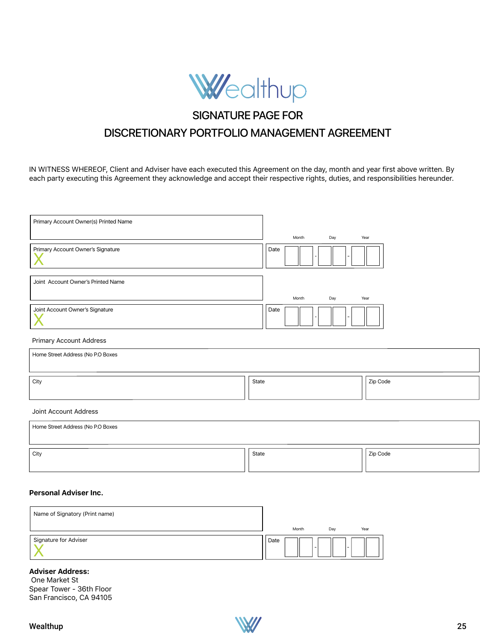

#### **SIGNATURE PAGE FOR** Tenants in Common  $\sim$  Signal order dies, his formulation of the state  $\sim$  0.500, unless otherwise noted in the state  $\sim$

#### DISCRETIONARY PORTFOLIO MANAGEMENT AGREEMENT portion of Section 3. Complete the Custodian's Designation of Successor Custodian to UTMA/UGMA Account form. If the custodian dies or becomes CONTTION ANY DODTEOLIO LA Tenants by the Entirety If one Joint owner dies, his/her interest passes to the surviving owner (Spouses only). Not available in all states. Laws vary by state.

IN WITNESS WHEREOF, Client and Adviser have each executed this Agreement on the day, month and year first above written. By each party executing this Agreement they acknowledge and accept their respective rights, duties, and responsibilities hereunder. <code>VESS</code> WHEREOF, Client and Adviser have each executed this Agreement on the day, m  $\mu$  ty executing this Agreement they acknowledge and accept their respective rig

|                                                                | Month<br>Day | Year     |
|----------------------------------------------------------------|--------------|----------|
| Primary Account Owner's Signature                              | Date         |          |
| Joint Account Owner's Printed Name                             | Month<br>Day | Year     |
| Joint Account Owner's Signature                                | Date         |          |
| <b>Primary Account Address</b>                                 |              |          |
| Home Street Address (No P.O Boxes                              |              |          |
| City                                                           | State        | Zip Code |
| Joint Account Address                                          |              |          |
| Home Street Address (No P.O Boxes                              |              |          |
| City                                                           | State        | Zip Code |
| <b>Personal Adviser Inc.</b><br>Name of Signatory (Print name) |              |          |

| Name of Signatory (Print name) |      |       |     |        |
|--------------------------------|------|-------|-----|--------|
|                                |      | Month | Day | Year   |
| Signature for Adviser          | Date |       | -   | $\sim$ |

### **Adviser Address:**

 One Market St Spear Tower - 36th Floor San Francisco, CA 94105